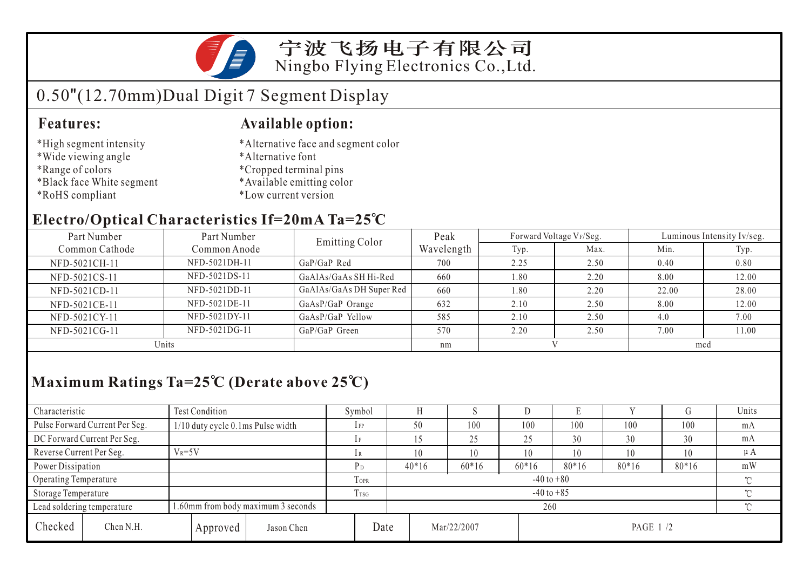

宁波飞扬电子有限公司 Ningbo Flying Electronics Co.,Ltd.

# 0.50"(12.70mm)Dual Digit 7 Segment Display

### **Features:**

### **Available option:**

- \*High segment intensity
- \*Wide viewing angle
- \*Range of colors
- \*Black face White segment
- \*RoHS compliant
- \*Alternative face and segment color
- \*Alternative font
- \*Cropped terminal pins
- \*Available emitting color
- \*Low current version

### **Electro/Optical Characteristics If=20mA Ta=25 C**

| Part Number                    | Part Number   | <b>Emitting Color</b>    | Peak       |      | Forward Voltage VF/Seg. | Luminous Intensity Iv/seg. |       |  |
|--------------------------------|---------------|--------------------------|------------|------|-------------------------|----------------------------|-------|--|
| Common Cathode<br>Common Anode |               |                          | Wavelength | Typ. | Max.                    | Min.                       | Typ.  |  |
| NFD-5021CH-11                  | NFD-5021DH-11 | $GaP/GaP$ Red            | 700        | 2.25 | 2.50                    | 0.40                       | 0.80  |  |
| NFD-5021CS-11                  | NFD-5021DS-11 | GaAlAs/GaAs SH Hi-Red    | 660        | 1.80 | 2.20                    | 8.00                       | 12.00 |  |
| NFD-5021CD-11                  | NFD-5021DD-11 | GaAlAs/GaAs DH Super Red | 660        | 1.80 | 2.20                    | 22.00                      | 28.00 |  |
| NFD-5021CE-11                  | NFD-5021DE-11 | GaAsP/GaP Orange         | 632        | 2.10 | 2.50                    | 8.00                       | 12.00 |  |
| NFD-5021CY-11                  | NFD-5021DY-11 | GaAsP/GaP Yellow         | 585        | 2.10 | 2.50                    | 4.0                        | 7.00  |  |
| NFD-5021CG-11                  | NFD-5021DG-11 | GaP/GaP Green            | 570        | 2.20 | 2.50                    | 7.00                       | 11.00 |  |
| Units                          |               |                          | nm         |      |                         | mcd                        |       |  |

## **Maximum Ratings Ta=25 C (Derate above 25 C)**

| Characteristic           |                                                                  | <b>Test Condition</b>             |             |                            | Symbol       |         |    |             | ע       |          |         | U        | Units   |
|--------------------------|------------------------------------------------------------------|-----------------------------------|-------------|----------------------------|--------------|---------|----|-------------|---------|----------|---------|----------|---------|
|                          | Pulse Forward Current Per Seg.                                   | 1/10 duty cycle 0.1ms Pulse width |             |                            | $_{\rm IFP}$ | 50      |    | 100         | 100     | 100      | 100     | 100      | mA      |
|                          | DC Forward Current Per Seg.                                      |                                   |             | 1F                         |              |         | 25 | 25          | 30      | 30       | 30      | mA       |         |
| Reverse Current Per Seg. |                                                                  | $V_R = 5V$                        |             |                            | 1 R          | 10      |    | 10          | 10      | 10       | 10      | 10       | $\mu A$ |
| Power Dissipation        |                                                                  |                                   |             |                            | $P_D$        | $40*16$ |    | $60*16$     | $60*16$ | $80*16$  | $80*16$ | $80*16$  | mW      |
| Operating Temperature    |                                                                  |                                   | <b>TOPR</b> | $-40$ to $+80$<br>$\sim$   |              |         |    |             |         |          |         |          |         |
| Storage Temperature      |                                                                  |                                   | Trsg        | $-40$ to $+85$<br>$\gamma$ |              |         |    |             |         |          |         |          |         |
|                          | 1.60mm from body maximum 3 seconds<br>Lead soldering temperature |                                   |             |                            | 260          |         |    |             |         |          |         | $\gamma$ |         |
| Checked                  | Chen N.H.                                                        |                                   | Approved    | Jason Chen                 |              | Date    |    | Mar/22/2007 |         | PAGE 1/2 |         |          |         |